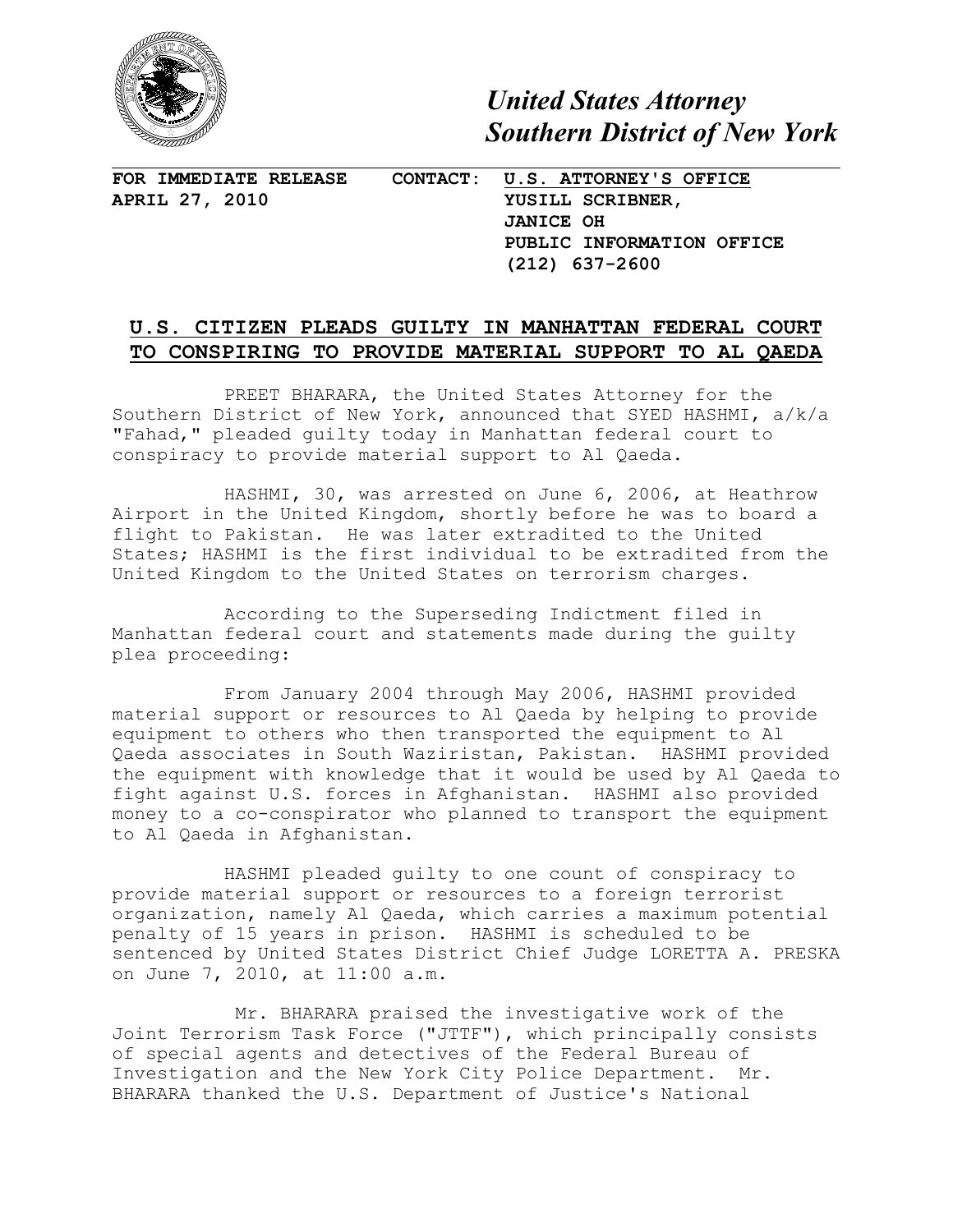

*United States Attorney Southern District of New York*

**FOR IMMEDIATE RELEASE CONTACT: U.S. ATTORNEY'S OFFICE**

**APRIL 27, 2010 YUSILL SCRIBNER, JANICE OH PUBLIC INFORMATION OFFICE (212) 637-2600**

## **U.S. CITIZEN PLEADS GUILTY IN MANHATTAN FEDERAL COURT TO CONSPIRING TO PROVIDE MATERIAL SUPPORT TO AL QAEDA**

PREET BHARARA, the United States Attorney for the Southern District of New York, announced that SYED HASHMI, a/k/a "Fahad," pleaded guilty today in Manhattan federal court to conspiracy to provide material support to Al Qaeda.

HASHMI, 30, was arrested on June 6, 2006, at Heathrow Airport in the United Kingdom, shortly before he was to board a flight to Pakistan. He was later extradited to the United States; HASHMI is the first individual to be extradited from the United Kingdom to the United States on terrorism charges.

According to the Superseding Indictment filed in Manhattan federal court and statements made during the guilty plea proceeding:

From January 2004 through May 2006, HASHMI provided material support or resources to Al Qaeda by helping to provide equipment to others who then transported the equipment to Al Qaeda associates in South Waziristan, Pakistan. HASHMI provided the equipment with knowledge that it would be used by Al Qaeda to fight against U.S. forces in Afghanistan. HASHMI also provided money to a co-conspirator who planned to transport the equipment to Al Qaeda in Afghanistan.

HASHMI pleaded guilty to one count of conspiracy to provide material support or resources to a foreign terrorist organization, namely Al Qaeda, which carries a maximum potential penalty of 15 years in prison. HASHMI is scheduled to be sentenced by United States District Chief Judge LORETTA A. PRESKA on June 7, 2010, at 11:00 a.m.

 Mr. BHARARA praised the investigative work of the Joint Terrorism Task Force ("JTTF"), which principally consists of special agents and detectives of the Federal Bureau of Investigation and the New York City Police Department. Mr. BHARARA thanked the U.S. Department of Justice's National